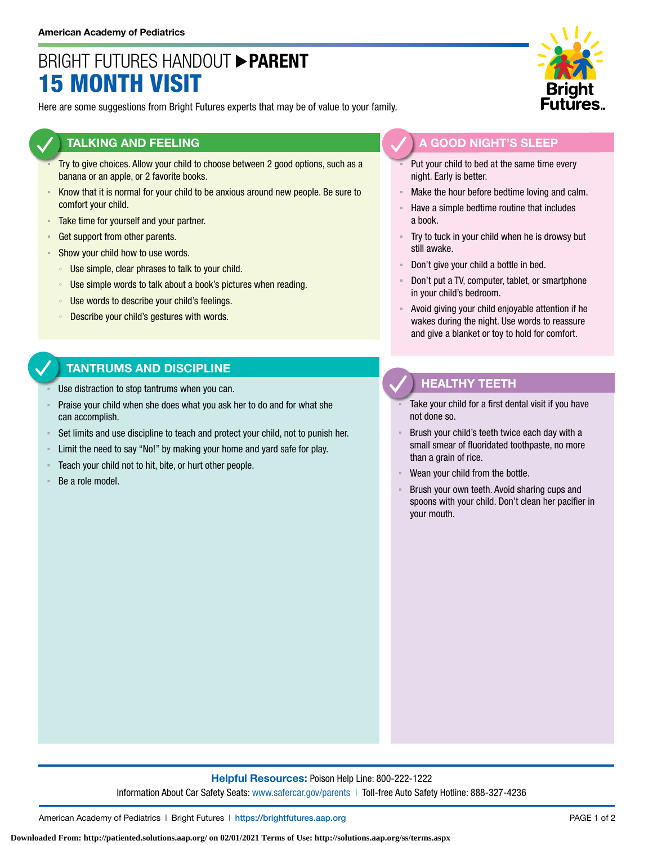## BRIGHT FUTURES HANDOUT **PARENT** 15 MONTH VISIT

Here are some suggestions from Bright Futures experts that may be of value to your family.

#### **TALKING AND FEELING**

- Try to give choices. Allow your child to choose between 2 good options, such as a banana or an apple, or 2 favorite books.
- **EXEL A** Know that it is normal for your child to be anxious around new people. Be sure to comfort your child.
- **EXECUTE:** Take time for yourself and your partner.
- **Get support from other parents.**
- **EXECUTE:** Show your child how to use words.
	- Use simple, clear phrases to talk to your child.
	- Use simple words to talk about a book's pictures when reading.
	- Use words to describe your child's feelings.
	- Describe your child's gestures with words.

### **TANTRUMS AND DISCIPLINE**

- Use distraction to stop tantrums when you can.
- Praise your child when she does what you ask her to do and for what she can accomplish.
- Set limits and use discipline to teach and protect your child, not to punish her.
- Limit the need to say "No!" by making your home and yard safe for play.
- Teach your child not to hit, bite, or hurt other people.
- Be a role model.



### **A GOOD NIGHT'S SLEEP**

- Put your child to bed at the same time every night. Early is better.
- Make the hour before bedtime loving and calm.
- Have a simple bedtime routine that includes a book.
- Try to tuck in your child when he is drowsy but still awake.
- Don't give your child a bottle in bed.
- Don't put a TV, computer, tablet, or smartphone in your child's bedroom.
- Avoid giving your child enjoyable attention if he wakes during the night. Use words to reassure and give a blanket or toy to hold for comfort.

### **HEALTHY TEETH**

- Take your child for a first dental visit if you have not done so.
- Brush your child's teeth twice each day with a small smear of fluoridated toothpaste, no more than a grain of rice.
- Wean your child from the bottle.
- Brush your own teeth. Avoid sharing cups and spoons with your child. Don't clean her pacifier in your mouth.

**Helpful Resources:** Poison Help Line: 800-222-1222 Information About Car Safety Seats: [www.safercar.gov/parents](https://www.nhtsa.gov/parents-and-caregivers) | Toll-free Auto Safety Hotline: 888-327-4236

American Academy of Pediatrics | Bright Futures | https://[brightfutures.aap.org](https://brightfutures.aap.org/Pages/default.aspx) PAGE 1 of 2